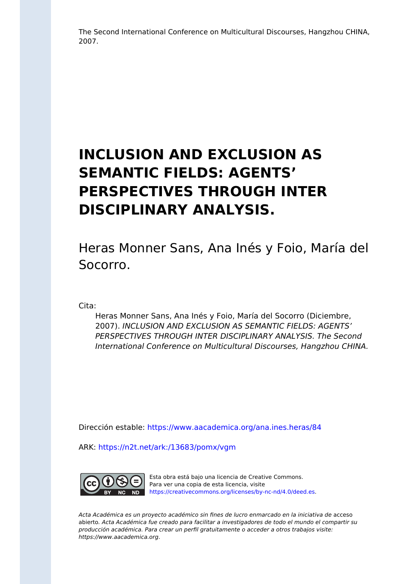The Second International Conference on Multicultural Discourses, Hangzhou CHINA, 2007.

# **INCLUSION AND EXCLUSION AS SEMANTIC FIELDS: AGENTS' PERSPECTIVES THROUGH INTER DISCIPLINARY ANALYSIS.**

Heras Monner Sans, Ana Inés y Foio, María del Socorro.

Cita:

Heras Monner Sans, Ana Inés y Foio, María del Socorro (Diciembre, 2007). INCLUSION AND EXCLUSION AS SEMANTIC FIELDS: AGENTS' PERSPECTIVES THROUGH INTER DISCIPLINARY ANALYSIS. The Second International Conference on Multicultural Discourses, Hangzhou CHINA.

Dirección estable:<https://www.aacademica.org/ana.ines.heras/84>

ARK: <https://n2t.net/ark:/13683/pomx/vgm>



Esta obra está bajo una licencia de Creative Commons. Para ver una copia de esta licencia, visite [https://creativecommons.org/licenses/by-nc-nd/4.0/deed.es.](https://creativecommons.org/licenses/by-nc-nd/4.0/deed.es)

Acta Académica es un proyecto académico sin fines de lucro enmarcado en la iniciativa de acceso abierto. Acta Académica fue creado para facilitar a investigadores de todo el mundo el compartir su producción académica. Para crear un perfil gratuitamente o acceder a otros trabajos visite: https://www.aacademica.org.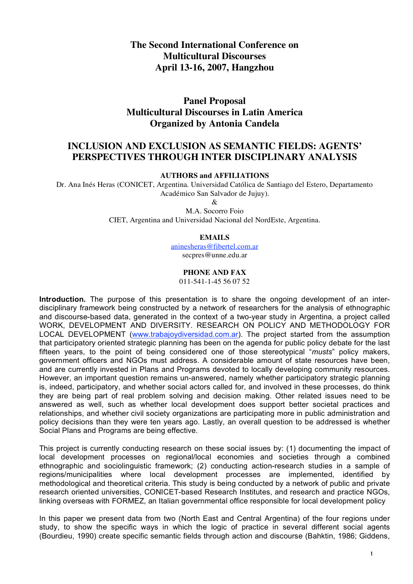# **The Second International Conference on Multicultural Discourses April 13-16, 2007, Hangzhou**

# **Panel Proposal Multicultural Discourses in Latin America Organized by Antonia Candela**

## **INCLUSION AND EXCLUSION AS SEMANTIC FIELDS: AGENTS' PERSPECTIVES THROUGH INTER DISCIPLINARY ANALYSIS**

**AUTHORS and AFFILIATIONS**

Dr. Ana Inés Heras (CONICET, Argentina. Universidad Católica de Santiago del Estero, Departamento Académico San Salvador de Jujuy).

&

M.A. Socorro Foio CIET, Argentina and Universidad Nacional del NordEste, Argentina.

#### **EMAILS**

aninesheras@fibertel.com.ar secpres@unne.edu.ar

### **PHONE AND FAX**

011-541-1-45 56 07 52

**Introduction.** The purpose of this presentation is to share the ongoing development of an interdisciplinary framework being constructed by a network of researchers for the analysis of ethnographic and discourse-based data, generated in the context of a two-year study in Argentina, a project called WORK, DEVELOPMENT AND DIVERSITY. RESEARCH ON POLICY AND METHODOLOGY FOR LOCAL DEVELOPMENT (www.trabajoydiversidad.com.ar). The project started from the assumption that participatory oriented strategic planning has been on the agenda for public policy debate for the last fifteen years, to the point of being considered one of those stereotypical "*musts*" policy makers, government officers and NGOs must address. A considerable amount of state resources have been, and are currently invested in Plans and Programs devoted to locally developing community resources. However, an important question remains un-answered, namely whether participatory strategic planning is, indeed, participatory, and whether social actors called for, and involved in these processes, do think they are being part of real problem solving and decision making. Other related issues need to be answered as well, such as whether local development does support better societal practices and relationships, and whether civil society organizations are participating more in public administration and policy decisions than they were ten years ago. Lastly, an overall question to be addressed is whether Social Plans and Programs are being effective.

This project is currently conducting research on these social issues by: (1) documenting the impact of local development processes on regional/local economies and societies through a combined ethnographic and sociolinguistic framework; (2) conducting action-research studies in a sample of regions/municipalities where local development processes are implemented, identified by methodological and theoretical criteria. This study is being conducted by a network of public and private research oriented universities, CONICET-based Research Institutes, and research and practice NGOs, linking overseas with FORMEZ, an Italian governmental office responsible for local development policy

In this paper we present data from two (North East and Central Argentina) of the four regions under study, to show the specific ways in which the logic of practice in several different social agents (Bourdieu, 1990) create specific semantic fields through action and discourse (Bahktin, 1986; Giddens,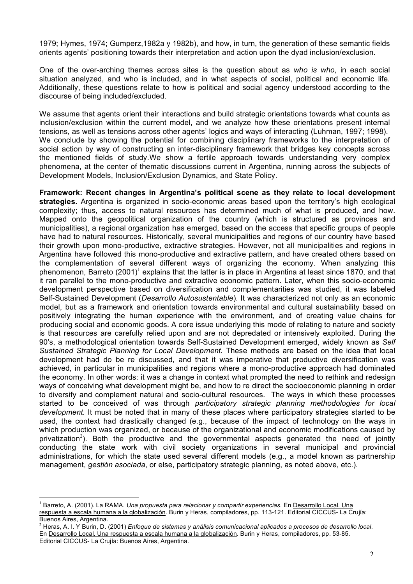1979; Hymes, 1974; Gumperz,1982a y 1982b), and how, in turn, the generation of these semantic fields orients agents' positioning towards their interpretation and action upon the dyad inclusion/exclusion.

One of the over-arching themes across sites is the question about as *who is who*, in each social situation analyzed, and who is included, and in what aspects of social, political and economic life. Additionally, these questions relate to how is political and social agency understood according to the discourse of being included/excluded.

We assume that agents orient their interactions and build strategic orientations towards what counts as inclusion/exclusion within the current model, and we analyze how these orientations present internal tensions, as well as tensions across other agents' logics and ways of interacting (Luhman, 1997; 1998). We conclude by showing the potential for combining disciplinary frameworks to the interpretation of social action by way of constructing an inter-disciplinary framework that bridges key concepts across the mentioned fields of study.We show a fertile approach towards understanding very complex phenomena, at the center of thematic discussions current in Argentina, running across the subjects of Development Models, Inclusion/Exclusion Dynamics, and State Policy.

**Framework: Recent changes in Argentina's political scene as they relate to local development strategies.** Argentina is organized in socio-economic areas based upon the territory's high ecological complexity; thus, access to natural resources has determined much of what is produced, and how. Mapped onto the geopolitical organization of the country (which is structured as provinces and municipalities), a regional organization has emerged, based on the access that specific groups of people have had to natural resources. Historically, several municipalities and regions of our country have based their growth upon mono-productive, extractive strategies. However, not all municipalities and regions in Argentina have followed this mono-productive and extractive pattern, and have created others based on the complementation of several different ways of organizing the economy. When analyzing this phenomenon, Barreto (2001)<sup>1</sup> explains that the latter is in place in Argentina at least since 1870, and that it ran parallel to the mono-productive and extractive economic pattern. Later, when this socio-economic development perspective based on diversification and complementarities was studied, it was labeled Self-Sustained Development (*Desarrollo Autosustentable*). It was characterized not only as an economic model, but as a framework and orientation towards environmental and cultural sustainability based on positively integrating the human experience with the environment, and of creating value chains for producing social and economic goods. A core issue underlying this mode of relating to nature and society is that resources are carefully relied upon and are not depredated or intensively exploited. During the 90's, a methodological orientation towards Self-Sustained Development emerged, widely known as *Self Sustained Strategic Planning for Local Development.* These methods are based on the idea that local development had do be re discussed, and that it was imperative that productive diversification was achieved, in particular in municipalities and regions where a mono-productive approach had dominated the economy. In other words: it was a change in context what prompted the need to rethink and redesign ways of conceiving what development might be, and how to re direct the socioeconomic planning in order to diversify and complement natural and socio-cultural resources. The ways in which these processes started to be conceived of was through *participatory strategic planning methodologies for local development.* It must be noted that in many of these places where participatory strategies started to be used, the context had drastically changed (e.g., because of the impact of technology on the ways in which production was organized, or because of the organizational and economic modifications caused by privatization<sup>2</sup>). Both the productive and the governmental aspects generated the need of jointly conducting the state work with civil society organizations in several municipal and provincial administrations, for which the state used several different models (e.g., a model known as partnership management, *gestión asociada*, or else, participatory strategic planning, as noted above, etc.).

 <sup>1</sup> Barreto, A. (2001). La RAMA. *Una propuesta para relacionar <sup>y</sup> compartir experiencias.* En Desarrollo Local. Una respuesta a escala humana a la globalización. Burin y Heras, compiladores, pp. 113-121. Editorial CICCUS- La Crujía: Buenos Aires, Argentina.<br><sup>2</sup> Heras, A. I. Y Burin, D. (2001) Enfoque de sistemas y análisis comunicacional aplicados a procesos de desarrollo local.

En Desarrollo Local. Una respuesta a escala humana a la globalización. Burin y Heras, compiladores, pp. 53-85. Editorial CICCUS- La Crujía: Buenos Aires, Argentina.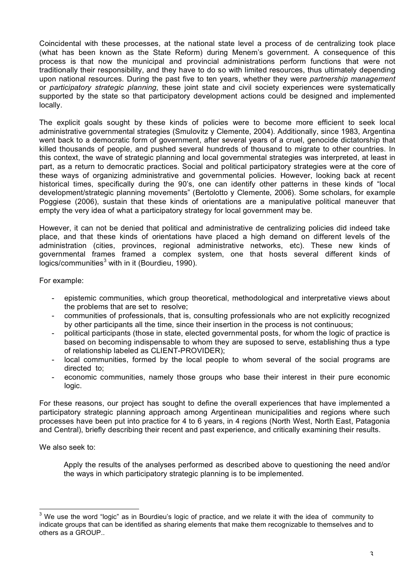Coincidental with these processes, at the national state level a process of de centralizing took place (what has been known as the State Reform) during Menem's government. A consequence of this process is that now the municipal and provincial administrations perform functions that were not traditionally their responsibility, and they have to do so with limited resources, thus ultimately depending upon national resources. During the past five to ten years, whether they were *partnership management* or *participatory strategic planning*, these joint state and civil society experiences were systematically supported by the state so that participatory development actions could be designed and implemented locally.

The explicit goals sought by these kinds of policies were to become more efficient to seek local administrative governmental strategies (Smulovitz y Clemente, 2004). Additionally, since 1983, Argentina went back to a democratic form of government, after several years of a cruel, genocide dictatorship that killed thousands of people, and pushed several hundreds of thousand to migrate to other countries. In this context, the wave of strategic planning and local governmental strategies was interpreted, at least in part, as a return to democratic practices. Social and political participatory strategies were at the core of these ways of organizing administrative and governmental policies. However, looking back at recent historical times, specifically during the 90's, one can identify other patterns in these kinds of "local development/strategic planning movements" (Bertolotto y Clemente, 2006). Some scholars, for example Poggiese (2006), sustain that these kinds of orientations are a manipulative political maneuver that empty the very idea of what a participatory strategy for local government may be.

However, it can not be denied that political and administrative de centralizing policies did indeed take place, and that these kinds of orientations have placed a high demand on different levels of the administration (cities, provinces, regional administrative networks, etc). These new kinds of governmental frames framed a complex system, one that hosts several different kinds of  $logics/communities<sup>3</sup>$  with in it (Bourdieu, 1990).

For example:

- epistemic communities, which group theoretical, methodological and interpretative views about the problems that are set to resolve;
- communities of professionals, that is, consulting professionals who are not explicitly recognized by other participants all the time, since their insertion in the process is not continuous;
- political participants (those in state, elected governmental posts, for whom the logic of practice is based on becoming indispensable to whom they are suposed to serve, establishing thus a type of relationship labeled as CLIENT-PROVIDER);
- local communities, formed by the local people to whom several of the social programs are directed to;
- economic communities, namely those groups who base their interest in their pure economic logic.

For these reasons, our project has sought to define the overall experiences that have implemented a participatory strategic planning approach among Argentinean municipalities and regions where such processes have been put into practice for 4 to 6 years, in 4 regions (North West, North East, Patagonia and Central), briefly describing their recent and past experience, and critically examining their results.

We also seek to:

Apply the results of the analyses performed as described above to questioning the need and/or the ways in which participatory strategic planning is to be implemented.

<sup>&</sup>lt;sup>3</sup> We use the word "logic" as in Bourdieu's logic of practice, and we relate it with the idea of community to indicate groups that can be identified as sharing elements that make them recognizable to themselves and to others as a GROUP..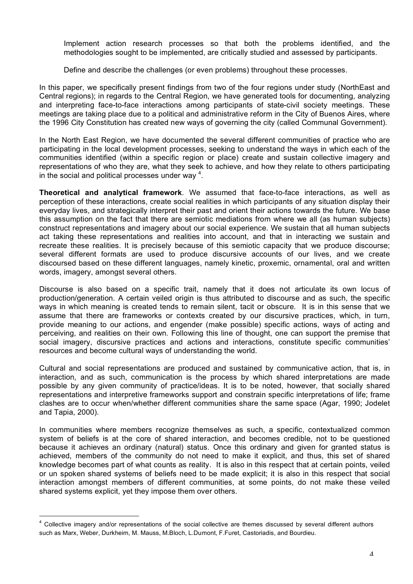Implement action research processes so that both the problems identified, and the methodologies sought to be implemented, are critically studied and assessed by participants.

Define and describe the challenges (or even problems) throughout these processes.

In this paper, we specifically present findings from two of the four regions under study (NorthEast and Central regions); in regards to the Central Region, we have generated tools for documenting, analyzing and interpreting face-to-face interactions among participants of state-civil society meetings. These meetings are taking place due to a political and administrative reform in the City of Buenos Aires, where the 1996 City Constitution has created new ways of governing the city (called Communal Government).

In the North East Region, we have documented the several different communities of practice who are participating in the local development processes, seeking to understand the ways in which each of the communities identified (within a specific region or place) create and sustain collective imagery and representations of who they are, what they seek to achieve, and how they relate to others participating in the social and political processes under way  $4$ .

**Theoretical and analytical framework**. We assumed that face-to-face interactions, as well as perception of these interactions, create social realities in which participants of any situation display their everyday lives, and strategically interpret their past and orient their actions towards the future. We base this assumption on the fact that there are semiotic mediations from where we all (as human subjects) construct representations and imagery about our social experience. We sustain that all human subjects act taking these representations and realities into account, and that in interacting we sustain and recreate these realities. It is precisely because of this semiotic capacity that we produce discourse; several different formats are used to produce discursive accounts of our lives, and we create discoursed based on these different languages, namely kinetic, proxemic, ornamental, oral and written words, imagery, amongst several others.

Discourse is also based on a specific trait, namely that it does not articulate its own locus of production/generation. A certain veiled origin is thus attributed to discourse and as such, the specific ways in which meaning is created tends to remain silent, tacit or obscure. It is in this sense that we assume that there are frameworks or contexts created by our discursive practices, which, in turn, provide meaning to our actions, and engender (make possible) specific actions, ways of acting and perceiving, and realities on their own. Following this line of thought, one can support the premise that social imagery, discursive practices and actions and interactions, constitute specific communities' resources and become cultural ways of understanding the world.

Cultural and social representations are produced and sustained by communicative action, that is, in interaction, and as such, communication is the process by which shared interpretations are made possible by any given community of practice/ideas. It is to be noted, however, that socially shared representations and interpretive frameworks support and constrain specific interpretations of life; frame clashes are to occur when/whether different communities share the same space (Agar, 1990; Jodelet and Tapia, 2000).

In communities where members recognize themselves as such, a specific, contextualized common system of beliefs is at the core of shared interaction, and becomes credible, not to be questioned because it achieves an ordinary (natural) status. Once this ordinary and given for granted status is achieved, members of the community do not need to make it explicit, and thus, this set of shared knowledge becomes part of what counts as reality. It is also in this respect that at certain points, veiled or un spoken shared systems of beliefs need to be made explicit; it is also in this respect that social interaction amongst members of different communities, at some points, do not make these veiled shared systems explicit, yet they impose them over others.

 $\overline{a}$ 

 $<sup>4</sup>$  Collective imagery and/or representations of the social collective are themes discussed by several different authors</sup> such as Marx, Weber, Durkheim, M. Mauss, M.Bloch, L.Dumont, F.Furet, Castoriadis, and Bourdieu.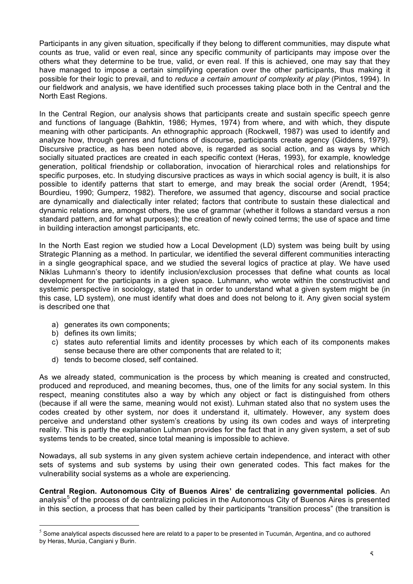Participants in any given situation, specifically if they belong to different communities, may dispute what counts as true, valid or even real, since any specific community of participants may impose over the others what they determine to be true, valid, or even real. If this is achieved, one may say that they have managed to impose a certain simplifying operation over the other participants, thus making it possible for their logic to prevail, and to *reduce a certain amount of complexity at play* (Pintos, 1994). In our fieldwork and analysis, we have identified such processes taking place both in the Central and the North East Regions.

In the Central Region, our analysis shows that participants create and sustain specific speech genre and functions of language (Bahktin, 1986; Hymes, 1974) from where, and with which, they dispute meaning with other participants. An ethnographic approach (Rockwell, 1987) was used to identify and analyze how, through genres and functions of discourse, participants create agency (Giddens, 1979). Discursive practice, as has been noted above, is regarded as social action, and as ways by which socially situated practices are created in each specific context (Heras, 1993), for example, knowledge generation, political friendship or collaboration, invocation of hierarchical roles and relationships for specific purposes, etc. In studying discursive practices as ways in which social agency is built, it is also possible to identify patterns that start to emerge, and may break the social order (Arendt, 1954; Bourdieu, 1990; Gumperz, 1982). Therefore, we assumed that agency, discourse and social practice are dynamically and dialectically inter related; factors that contribute to sustain these dialectical and dynamic relations are, amongst others, the use of grammar (whether it follows a standard versus a non standard pattern, and for what purposes); the creation of newly coined terms; the use of space and time in building interaction amongst participants, etc.

In the North East region we studied how a Local Development (LD) system was being built by using Strategic Planning as a method. In particular, we identified the several different communities interacting in a single geographical space, and we studied the several logics of practice at play. We have used Niklas Luhmann's theory to identify inclusion/exclusion processes that define what counts as local development for the participants in a given space. Luhmann, who wrote within the constructivist and systemic perspective in sociology, stated that in order to understand what a given system might be (in this case, LD system), one must identify what does and does not belong to it. Any given social system is described one that

- a) generates its own components;
- b) defines its own limits;
- c) states auto referential limits and identity processes by which each of its components makes sense because there are other components that are related to it;
- d) tends to become closed, self contained.

As we already stated, communication is the process by which meaning is created and constructed, produced and reproduced, and meaning becomes, thus, one of the limits for any social system. In this respect, meaning constitutes also a way by which any object or fact is distinguished from others (because if all were the same, meaning would not exist). Luhman stated also that no system uses the codes created by other system, nor does it understand it, ultimately. However, any system does perceive and understand other system's creations by using its own codes and ways of interpreting reality. This is partly the explanation Luhman provides for the fact that in any given system, a set of sub systems tends to be created, since total meaning is impossible to achieve.

Nowadays, all sub systems in any given system achieve certain independence, and interact with other sets of systems and sub systems by using their own generated codes. This fact makes for the vulnerability social systems as a whole are experiencing.

**Central Region. Autonomous City of Buenos Aires' de centralizing governmental policies**. An analysis<sup>5</sup> of the process of de centralizing policies in the Autonomous City of Buenos Aires is presented in this section, a process that has been called by their participants "transition process" (the transition is

 $<sup>5</sup>$  Some analytical aspects discussed here are relatd to a paper to be presented in Tucumán, Argentina, and co authored</sup> by Heras, Murúa, Cangiani y Burin.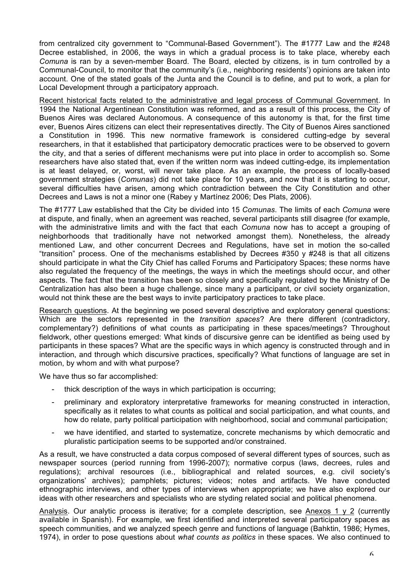from centralized city government to "Communal-Based Government"). The #1777 Law and the #248 Decree established, in 2006, the ways in which a gradual process is to take place, whereby each *Comuna* is ran by a seven-member Board. The Board, elected by citizens, is in turn controlled by a Communal-Council, to monitor that the community's (i.e., neighboring residents') opinions are taken into account. One of the stated goals of the Junta and the Council is to define, and put to work, a plan for Local Development through a participatory approach.

Recent historical facts related to the administrative and legal process of Communal Government. In 1994 the National Argentinean Constitution was reformed, and as a result of this process, the City of Buenos Aires was declared Autonomous. A consequence of this autonomy is that, for the first time ever, Buenos Aires citizens can elect their representatives directly. The City of Buenos Aires sanctioned a Constitution in 1996. This new normative framework is considered cutting-edge by several researchers, in that it established that participatory democratic practices were to be observed to govern the city, and that a series of different mechanisms were put into place in order to accomplish so. Some researchers have also stated that, even if the written norm was indeed cutting-edge, its implementation is at least delayed, or, worst, will never take place. As an example, the process of locally-based government strategies (*Comunas*) did not take place for 10 years, and now that it is starting to occur, several difficulties have arisen, among which contradiction between the City Constitution and other Decrees and Laws is not a minor one (Rabey y Martínez 2006; Des Plats, 2006).

The #1777 Law established that the City be divided into 15 *Comunas*. The limits of each *Comuna* were at dispute, and finally, when an agreement was reached, several participants still disagree (for example, with the administrative limits and with the fact that each *Comuna* now has to accept a grouping of neighborhoods that traditionally have not networked amongst them). Nonetheless, the already mentioned Law, and other concurrent Decrees and Regulations, have set in motion the so-called "transition" process. One of the mechanisms established by Decrees #350 y #248 is that all citizens should participate in what the City Chief has called Forums and Participatory Spaces; these norms have also regulated the frequency of the meetings, the ways in which the meetings should occur, and other aspects. The fact that the transition has been so closely and specifically regulated by the Ministry of De Centralization has also been a huge challenge, since many a participant, or civil society organization, would not think these are the best ways to invite participatory practices to take place.

Research questions. At the beginning we posed several descriptive and exploratory general questions: Which are the sectors represented in the *transition spaces*? Are there different (contradictory, complementary?) definitions of what counts as participating in these spaces/meetings? Throughout fieldwork, other questions emerged: What kinds of discursive genre can be identified as being used by participants in these spaces? What are the specific ways in which agency is constructed through and in interaction, and through which discursive practices, specifically? What functions of language are set in motion, by whom and with what purpose?

We have thus so far accomplished:

- thick description of the ways in which participation is occurring;
- preliminary and exploratory interpretative frameworks for meaning constructed in interaction, specifically as it relates to what counts as political and social participation, and what counts, and how do relate, party political participation with neighborhood, social and communal participation;
- we have identified, and started to systematize, concrete mechanisms by which democratic and pluralistic participation seems to be supported and/or constrained.

As a result, we have constructed a data corpus composed of several different types of sources, such as newspaper sources (period running from 1996-2007); normative corpus (laws, decrees, rules and regulations); archival resources (i.e., bibliographical and related sources, e.g. civil society's organizations' archives); pamphlets; pictures; videos; notes and artifacts. We have conducted ethnographic interviews, and other types of interviews when appropriate; we have also explored our ideas with other researchers and specialists who are styding related social and political phenomena.

Analysis. Our analytic process is iterative; for a complete description, see Anexos 1 y 2 (currently available in Spanish). For example, we first identified and interpreted several participatory spaces as speech communities, and we analyzed speech genre and functions of language (Bahktin, 1986; Hymes, 1974), in order to pose questions about *what counts as politics* in these spaces. We also continued to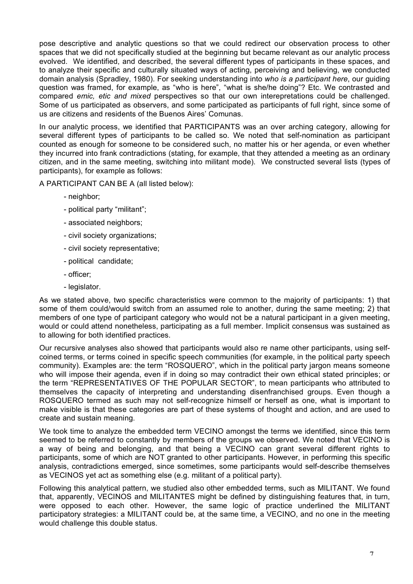pose descriptive and analytic questions so that we could redirect our observation process to other spaces that we did not specifically studied at the beginning but became relevant as our analytic process evolved. We identified, and described, the several different types of participants in these spaces, and to analyze their specific and culturally situated ways of acting, perceiving and believing, we conducted domain analysis (Spradley, 1980). For seeking understanding into *who is a participant here*, our guiding question was framed, for example, as "who is here", "what is she/he doing"? Etc. We contrasted and compared *emic, etic and mixed* perspectives so that our own interepretations could be challenged. Some of us participated as observers, and some participated as participants of full right, since some of us are citizens and residents of the Buenos Aires' Comunas.

In our analytic process, we identified that PARTICIPANTS was an over arching category, allowing for several different types of participants to be called so. We noted that self-nomination as participant counted as enough for someone to be considered such, no matter his or her agenda, or even whether they incurred into frank contradictions (stating, for example, that they attended a meeting as an ordinary citizen, and in the same meeting, switching into militant mode). We constructed several lists (types of participants), for example as follows:

A PARTICIPANT CAN BE A (all listed below):

- neighbor;
- political party "militant";
- associated neighbors;
- civil society organizations;
- civil society representative;
- political candidate;
- officer;
- legislator.

As we stated above, two specific characteristics were common to the majority of participants: 1) that some of them could/would switch from an assumed role to another, during the same meeting; 2) that members of one type of participant category who would not be a natural participant in a given meeting, would or could attend nonetheless, participating as a full member. Implicit consensus was sustained as to allowing for both identified practices.

Our recursive analyses also showed that participants would also re name other participants, using selfcoined terms, or terms coined in specific speech communities (for example, in the political party speech community). Examples are: the term "ROSQUERO", which in the political party jargon means someone who will impose their agenda, even if in doing so may contradict their own ethical stated principles; or the term "REPRESENTATIVES OF THE POPULAR SECTOR", to mean participants who attributed to themselves the capacity of interpreting and understanding disenfranchised groups. Even though a ROSQUERO termed as such may not self-recognize himself or herself as one, what is important to make visible is that these categories are part of these systems of thought and action, and are used to create and sustain meaning.

We took time to analyze the embedded term VECINO amongst the terms we identified, since this term seemed to be referred to constantly by members of the groups we observed. We noted that VECINO is a way of being and belonging, and that being a VECINO can grant several different rights to participants, some of which are NOT granted to other participants. However, in performing this specific analysis, contradictions emerged, since sometimes, some participants would self-describe themselves as VECINOS yet act as something else (e.g. militant of a political party).

Following this analytical pattern, we studied also other embedded terms, such as MILITANT. We found that, apparently, VECINOS and MILITANTES might be defined by distinguishing features that, in turn, were opposed to each other. However, the same logic of practice underlined the MILITANT participatory strategies: a MILITANT could be, at the same time, a VECINO, and no one in the meeting would challenge this double status.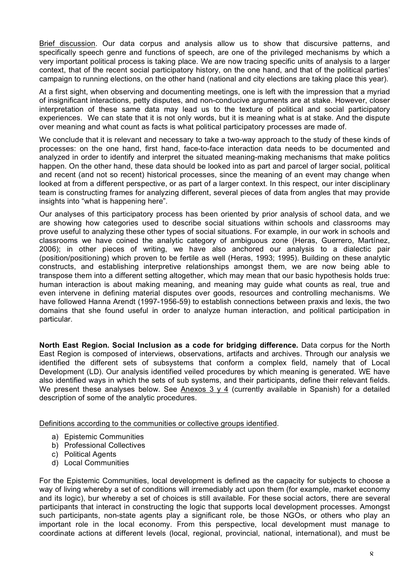Brief discussion. Our data corpus and analysis allow us to show that discursive patterns, and specifically speech genre and functions of speech, are one of the privileged mechanisms by which a very important political process is taking place. We are now tracing specific units of analysis to a larger context, that of the recent social participatory history, on the one hand, and that of the political parties' campaign to running elections, on the other hand (national and city elections are taking place this year).

At a first sight, when observing and documenting meetings, one is left with the impression that a myriad of insignificant interactions, petty disputes, and non-conducive arguments are at stake. However, closer interpretation of these same data may lead us to the texture of political and social participatory experiences. We can state that it is not only words, but it is meaning what is at stake. And the dispute over meaning and what count as facts is what political participatory processes are made of.

We conclude that it is relevant and necessary to take a two-way approach to the study of these kinds of processes: on the one hand, first hand, face-to-face interaction data needs to be documented and analyzed in order to identify and interpret the situated meaning-making mechanisms that make politics happen. On the other hand, these data should be looked into as part and parcel of larger social, political and recent (and not so recent) historical processes, since the meaning of an event may change when looked at from a different perspective, or as part of a larger context. In this respect, our inter disciplinary team is constructing frames for analyzing different, several pieces of data from angles that may provide insights into "what is happening here".

Our analyses of this participatory process has been oriented by prior analysis of school data, and we are showing how categories used to describe social situations within schools and classrooms may prove useful to analyzing these other types of social situations. For example, in our work in schools and classrooms we have coined the analytic category of ambiguous zone (Heras, Guerrero, Martínez, 2006); in other pieces of writing, we have also anchored our analysis to a dialectic pair (position/positioning) which proven to be fertile as well (Heras, 1993; 1995). Building on these analytic constructs, and establishing interpretive relationships amongst them, we are now being able to transpose them into a different setting altogether, which may mean that our basic hypothesis holds true: human interaction is about making meaning, and meaning may guide what counts as real, true and even intervene in defining material disputes over goods, resources and controlling mechanisms. We have followed Hanna Arendt (1997-1956-59) to establish connections between praxis and lexis, the two domains that she found useful in order to analyze human interaction, and political participation in particular.

**North East Region. Social Inclusion as a code for bridging difference.** Data corpus for the North East Region is composed of interviews, observations, artifacts and archives. Through our analysis we identified the different sets of subsystems that conform a complex field, namely that of Local Development (LD). Our analysis identified veiled procedures by which meaning is generated. WE have also identified ways in which the sets of sub systems, and their participants, define their relevant fields. We present these analyses below. See Anexos 3 y 4 (currently available in Spanish) for a detailed description of some of the analytic procedures.

Definitions according to the communities or collective groups identified.

- a) Epistemic Communities
- b) Professional Collectives
- c) Political Agents
- d) Local Communities

For the Epistemic Communities, local development is defined as the capacity for subjects to choose a way of living whereby a set of conditions will irremediably act upon them (for example, market economy and its logic), bur whereby a set of choices is still available. For these social actors, there are several participants that interact in constructing the logic that supports local development processes. Amongst such participants, non-state agents play a significant role, be those NGOs, or others who play an important role in the local economy. From this perspective, local development must manage to coordinate actions at different levels (local, regional, provincial, national, international), and must be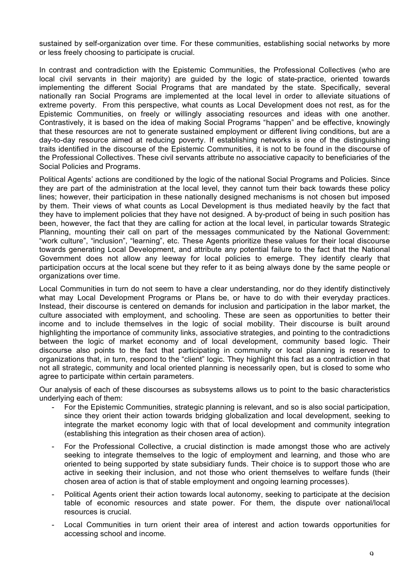sustained by self-organization over time. For these communities, establishing social networks by more or less freely choosing to participate is crucial.

In contrast and contradiction with the Epistemic Communities, the Professional Collectives (who are local civil servants in their majority) are guided by the logic of state-practice, oriented towards implementing the different Social Programs that are mandated by the state. Specifically, several nationally ran Social Programs are implemented at the local level in order to alleviate situations of extreme poverty. From this perspective, what counts as Local Development does not rest, as for the Epistemic Communities, on freely or willingly associating resources and ideas with one another. Contrastively, it is based on the idea of making Social Programs "happen" and be effective, knowingly that these resources are not to generate sustained employment or different living conditions, but are a day-to-day resource aimed at reducing poverty. If establishing networks is one of the distinguishing traits identified in the discourse of the Epistemic Communities, it is not to be found in the discourse of the Professional Collectives. These civil servants attribute no associative capacity to beneficiaries of the Social Policies and Programs.

Political Agents' actions are conditioned by the logic of the national Social Programs and Policies. Since they are part of the administration at the local level, they cannot turn their back towards these policy lines; however, their participation in these nationally designed mechanisms is not chosen but imposed by them. Their views of what counts as Local Development is thus mediated heavily by the fact that they have to implement policies that they have not designed. A by-product of being in such position has been, however, the fact that they are calling for action at the local level, in particular towards Strategic Planning, mounting their call on part of the messages communicated by the National Government: "work culture", "inclusion", "learning", etc. These Agents prioritize these values for their local discourse towards generating Local Development, and attribute any potential failure to the fact that the National Government does not allow any leeway for local policies to emerge. They identify clearly that participation occurs at the local scene but they refer to it as being always done by the same people or organizations over time.

Local Communities in turn do not seem to have a clear understanding, nor do they identify distinctively what may Local Development Programs or Plans be, or have to do with their everyday practices. Instead, their discourse is centered on demands for inclusion and participation in the labor market, the culture associated with employment, and schooling. These are seen as opportunities to better their income and to include themselves in the logic of social mobility. Their discourse is built around highlighting the importance of community links, associative strategies, and pointing to the contradictions between the logic of market economy and of local development, community based logic. Their discourse also points to the fact that participating in community or local planning is reserved to organizations that, in turn, respond to the "client" logic. They highlight this fact as a contradiction in that not all strategic, community and local oriented planning is necessarily open, but is closed to some who agree to participate within certain parameters.

Our analysis of each of these discourses as subsystems allows us to point to the basic characteristics underlying each of them:

- For the Epistemic Communities, strategic planning is relevant, and so is also social participation, since they orient their action towards bridging globalization and local development, seeking to integrate the market economy logic with that of local development and community integration (establishing this integration as their chosen area of action).
- For the Professional Collective, a crucial distinction is made amongst those who are actively seeking to integrate themselves to the logic of employment and learning, and those who are oriented to being supported by state subsidiary funds. Their choice is to support those who are active in seeking their inclusion, and not those who orient themselves to welfare funds (their chosen area of action is that of stable employment and ongoing learning processes).
- Political Agents orient their action towards local autonomy, seeking to participate at the decision table of economic resources and state power. For them, the dispute over national/local resources is crucial.
- Local Communities in turn orient their area of interest and action towards opportunities for accessing school and income.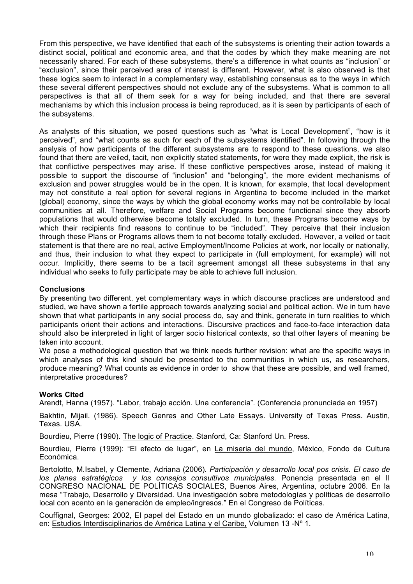From this perspective, we have identified that each of the subsystems is orienting their action towards a distinct social, political and economic area, and that the codes by which they make meaning are not necessarily shared. For each of these subsystems, there's a difference in what counts as "inclusion" or "exclusion", since their perceived area of interest is different. However, what is also observed is that these logics seem to interact in a complementary way, establishing consensus as to the ways in which these several different perspectives should not exclude any of the subsystems. What is common to all perspectives is that all of them seek for a way for being included, and that there are several mechanisms by which this inclusion process is being reproduced, as it is seen by participants of each of the subsystems.

As analysts of this situation, we posed questions such as "what is Local Development", "how is it perceived", and "what counts as such for each of the subsystems identified". In following through the analysis of how participants of the different subsystems are to respond to these questions, we also found that there are veiled, tacit, non explicitly stated statements, for were they made explicit, the risk is that conflictive perspectives may arise. If these conflictive perspectives arose, instead of making it possible to support the discourse of "inclusion" and "belonging", the more evident mechanisms of exclusion and power struggles would be in the open. It is known, for example, that local development may not constitute a real option for several regions in Argentina to become included in the market (global) economy, since the ways by which the global economy works may not be controllable by local communities at all. Therefore, welfare and Social Programs become functional since they absorb populations that would otherwise become totally excluded. In turn, these Programs become ways by which their recipients find reasons to continue to be "included". They perceive that their inclusion through these Plans or Programs allows them to not become totally excluded. However, a veiled or tacit statement is that there are no real, active Employment/Income Policies at work, nor locally or nationally, and thus, their inclusion to what they expect to participate in (full employment, for example) will not occur. Implicitly, there seems to be a tacit agreement amongst all these subsystems in that any individual who seeks to fully participate may be able to achieve full inclusion.

## **Conclusions**

By presenting two different, yet complementary ways in which discourse practices are understood and studied, we have shown a fertile approach towards analyzing social and political action. We in turn have shown that what participants in any social process do, say and think, generate in turn realities to which participants orient their actions and interactions. Discursive practices and face-to-face interaction data should also be interpreted in light of larger socio historical contexts, so that other layers of meaning be taken into account.

We pose a methodological question that we think needs further revision: what are the specific ways in which analyses of this kind should be presented to the communities in which us, as researchers, produce meaning? What counts as evidence in order to show that these are possible, and well framed, interpretative procedures?

## **Works Cited**

Arendt, Hanna (1957). "Labor, trabajo acción. Una conferencia". (Conferencia pronunciada en 1957)

Bakhtin, Mijail. (1986). Speech Genres and Other Late Essays. University of Texas Press. Austin, Texas. USA.

Bourdieu, Pierre (1990). The logic of Practice. Stanford, Ca: Stanford Un. Press.

Bourdieu, Pierre (1999): "El efecto de lugar", en La miseria del mundo, México, Fondo de Cultura Económica.

Bertolotto, M.Isabel, y Clemente, Adriana (2006). *Participación y desarrollo local pos crisis. El caso de los planes estratégicos y los consejos consultivos municipales.* Ponencia presentada en el II CONGRESO NACIONAL DE POLÍTICAS SOCIALES, Buenos Aires, Argentina, octubre 2006. En la mesa "Trabajo, Desarrollo y Diversidad. Una investigación sobre metodologías y políticas de desarrollo local con acento en la generación de empleo/ingresos." En el Congreso de Políticas.

Couffignal, Georges: 2002, El papel del Estado en un mundo globalizado: el caso de América Latina, en: Estudios Interdisciplinarios de América Latina y el Caribe, Volumen 13 -Nº 1.